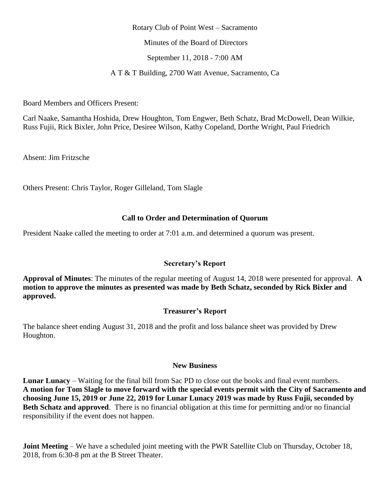#### Rotary Club of Point West – Sacramento

Minutes of the Board of Directors

September 11, 2018 - 7:00 AM

A T & T Building, 2700 Watt Avenue, Sacramento, Ca

Board Members and Officers Present:

Carl Naake, Samantha Hoshida, Drew Houghton, Tom Engwer, Beth Schatz, Brad McDowell, Dean Wilkie, Russ Fujii, Rick Bixler, John Price, Desiree Wilson, Kathy Copeland, Dorthe Wright, Paul Friedrich

Absent: Jim Fritzsche

Others Present: Chris Taylor, Roger Gilleland, Tom Slagle

## **Call to Order and Determination of Quorum**

President Naake called the meeting to order at 7:01 a.m. and determined a quorum was present.

### **Secretary's Report**

**Approval of Minutes**: The minutes of the regular meeting of August 14, 2018 were presented for approval. **A motion to approve the minutes as presented was made by Beth Schatz, seconded by Rick Bixler and approved.**

# **Treasurer's Report**

The balance sheet ending August 31, 2018 and the profit and loss balance sheet was provided by Drew Houghton.

## **New Business**

**Lunar Lunacy** – Waiting for the final bill from Sac PD to close out the books and final event numbers. **A motion for Tom Slagle to move forward with the special events permit with the City of Sacramento and choosing June 15, 2019 or June 22, 2019 for Lunar Lunacy 2019 was made by Russ Fujii, seconded by Beth Schatz and approved**. There is no financial obligation at this time for permitting and/or no financial responsibility if the event does not happen.

**Joint Meeting** – We have a scheduled joint meeting with the PWR Satellite Club on Thursday, October 18, 2018, from 6:30-8 pm at the B Street Theater.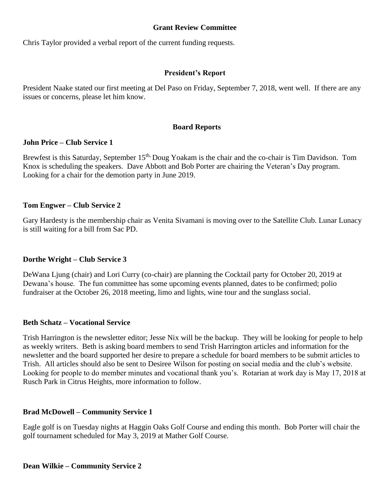## **Grant Review Committee**

Chris Taylor provided a verbal report of the current funding requests.

## **President's Report**

President Naake stated our first meeting at Del Paso on Friday, September 7, 2018, went well. If there are any issues or concerns, please let him know.

### **Board Reports**

### **John Price – Club Service 1**

Brewfest is this Saturday, September 15<sup>th,</sup> Doug Yoakam is the chair and the co-chair is Tim Davidson. Tom Knox is scheduling the speakers. Dave Abbott and Bob Porter are chairing the Veteran's Day program. Looking for a chair for the demotion party in June 2019.

## **Tom Engwer – Club Service 2**

Gary Hardesty is the membership chair as Venita Sivamani is moving over to the Satellite Club. Lunar Lunacy is still waiting for a bill from Sac PD.

# **Dorthe Wright – Club Service 3**

DeWana Ljung (chair) and Lori Curry (co-chair) are planning the Cocktail party for October 20, 2019 at Dewana's house. The fun committee has some upcoming events planned, dates to be confirmed; polio fundraiser at the October 26, 2018 meeting, limo and lights, wine tour and the sunglass social.

### **Beth Schatz – Vocational Service**

Trish Harrington is the newsletter editor; Jesse Nix will be the backup. They will be looking for people to help as weekly writers. Beth is asking board members to send Trish Harrington articles and information for the newsletter and the board supported her desire to prepare a schedule for board members to be submit articles to Trish. All articles should also be sent to Desiree Wilson for posting on social media and the club's website. Looking for people to do member minutes and vocational thank you's. Rotarian at work day is May 17, 2018 at Rusch Park in Citrus Heights, more information to follow.

# **Brad McDowell – Community Service 1**

Eagle golf is on Tuesday nights at Haggin Oaks Golf Course and ending this month. Bob Porter will chair the golf tournament scheduled for May 3, 2019 at Mather Golf Course.